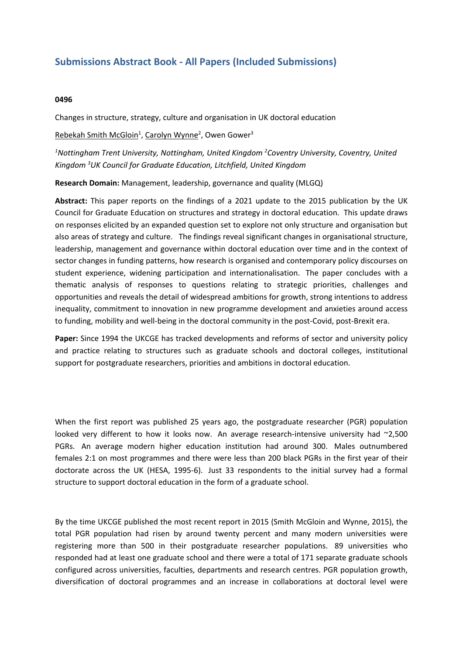## **Submissions Abstract Book - All Papers (Included Submissions)**

## **0496**

Changes in structure, strategy, culture and organisation in UK doctoral education

Rebekah Smith McGloin<sup>1</sup>, Carolyn Wynne<sup>2</sup>, Owen Gower<sup>3</sup>

*1 Nottingham Trent University, Nottingham, United Kingdom <sup>2</sup> Coventry University, Coventry, United Kingdom <sup>3</sup> UK Council for Graduate Education, Litchfield, United Kingdom*

**Research Domain:** Management, leadership, governance and quality (MLGQ)

**Abstract:** This paper reports on the findings of <sup>a</sup> 2021 update to the 2015 publication by the UK Council for Graduate Education on structures and strategy in doctoral education. This update draws on responses elicited by an expanded question set to explore not only structure and organisation but also areas of strategy and culture. The findings reveal significant changes in organisational structure, leadership, management and governance within doctoral education over time and in the context of sector changes in funding patterns, how research is organised and contemporary policy discourses on student experience, widening participation and internationalisation. The paper concludes with <sup>a</sup> thematic analysis of responses to questions relating to strategic priorities, challenges and opportunities and reveals the detail of widespread ambitions for growth, strong intentions to address inequality, commitment to innovation in new programme development and anxieties around access to funding, mobility and well-being in the doctoral community in the post-Covid, post-Brexit era.

**Paper:** Since 1994 the UKCGE has tracked developments and reforms of sector and university policy and practice relating to structures such as graduate schools and doctoral colleges, institutional support for postgraduate researchers, priorities and ambitions in doctoral education.

When the first report was published 25 years ago, the postgraduate researcher (PGR) population looked very different to how it looks now. An average research-intensive university had ~2,500 PGRs. An average modern higher education institution had around 300. Males outnumbered females 2:1 on most programmes and there were less than 200 black PGRs in the first year of their doctorate across the UK (HESA, 1995-6). Just 33 respondents to the initial survey had <sup>a</sup> formal structure to support doctoral education in the form of <sup>a</sup> graduate school.

By the time UKCGE published the most recent report in 2015 (Smith McGloin and Wynne, 2015), the total PGR population had risen by around twenty percent and many modern universities were registering more than 500 in their postgraduate researcher populations. 89 universities who responded had at least one graduate school and there were <sup>a</sup> total of 171 separate graduate schools configured across universities, faculties, departments and research centres. PGR population growth, diversification of doctoral programmes and an increase in collaborations at doctoral level were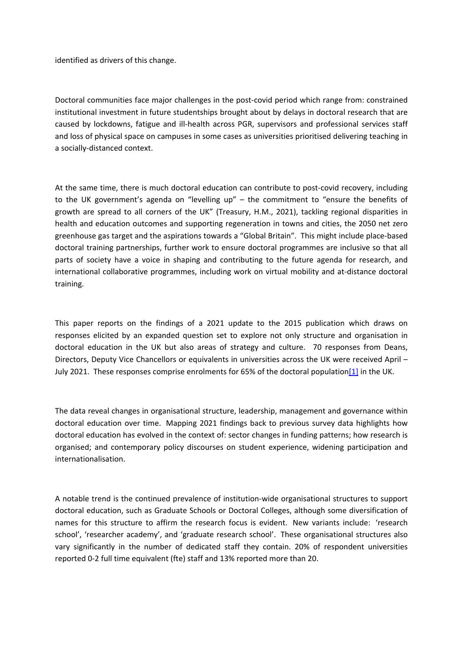identified as drivers of this change.

Doctoral communities face major challenges in the post-covid period which range from: constrained institutional investment in future studentships brought about by delays in doctoral research that are caused by lockdowns, fatigue and ill-health across PGR, supervisors and professional services staff and loss of physical space on campuses in some cases as universities prioritised delivering teaching in <sup>a</sup> socially-distanced context.

At the same time, there is much doctoral education can contribute to post-covid recovery, including to the UK government's agenda on "levelling up" – the commitment to "ensure the benefits of growth are spread to all corners of the UK" (Treasury, H.M., 2021), tackling regional disparities in health and education outcomes and supporting regeneration in towns and cities, the 2050 net zero greenhouse gas target and the aspirations towards <sup>a</sup> "Global Britain". This might include place-based doctoral training partnerships, further work to ensure doctoral programmes are inclusive so that all parts of society have <sup>a</sup> voice in shaping and contributing to the future agenda for research, and international collaborative programmes, including work on virtual mobility and at-distance doctoral training.

This paper reports on the findings of <sup>a</sup> 2021 update to the 2015 publication which draws on responses elicited by an expanded question set to explore not only structure and organisation in doctoral education in the UK but also areas of strategy and culture. 70 responses from Deans, Directors, Deputy Vice Chancellors or equivalents in universities across the UK were received April – July 2021. These responses comprise enrolments for 65% of the doctoral population<sup>[1]</sup> in the UK.

The data reveal changes in organisational structure, leadership, management and governance within doctoral education over time. Mapping 2021 findings back to previous survey data highlights how doctoral education has evolved in the context of: sector changes in funding patterns; how research is organised; and contemporary policy discourses on student experience, widening participation and internationalisation.

A notable trend is the continued prevalence of institution-wide organisational structures to support doctoral education, such as Graduate Schools or Doctoral Colleges, although some diversification of names for this structure to affirm the research focus is evident. New variants include: 'research school', 'researcher academy', and 'graduate research school'. These organisational structures also vary significantly in the number of dedicated staff they contain. 20% of respondent universities reported 0-2 full time equivalent (fte) staff and 13% reported more than 20.